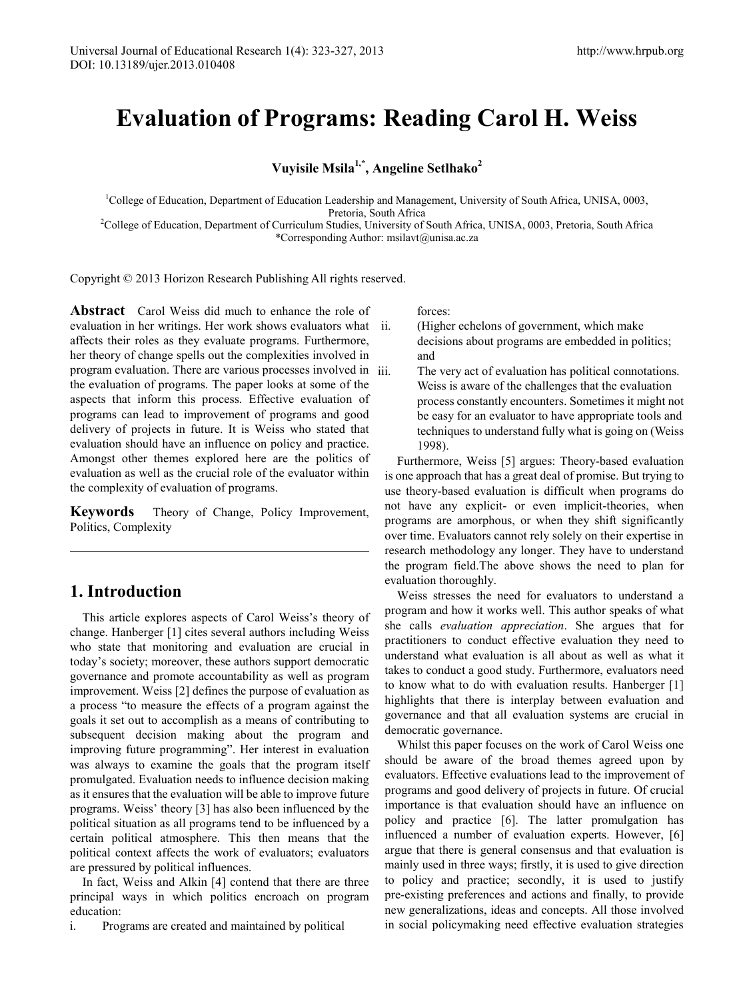# **Evaluation of Programs: Reading Carol H. Weiss**

**Vuyisile Msila1,\* , Angeline Setlhako<sup>2</sup>**

<sup>1</sup>College of Education, Department of Education Leadership and Management, University of South Africa, UNISA, 0003, Pretoria, South Africa<br>College of Education, Department of Curriculum Studies, University of South Africa, UNISA, 0003, Pretoria, South Africa<sup>2</sup>

\*Corresponding Author: msilavt@unisa.ac.za

Copyright © 2013 Horizon Research Publishing All rights reserved.

**Abstract** Carol Weiss did much to enhance the role of evaluation in her writings. Her work shows evaluators what affects their roles as they evaluate programs. Furthermore, her theory of change spells out the complexities involved in program evaluation. There are various processes involved in the evaluation of programs. The paper looks at some of the aspects that inform this process. Effective evaluation of programs can lead to improvement of programs and good delivery of projects in future. It is Weiss who stated that evaluation should have an influence on policy and practice. Amongst other themes explored here are the politics of evaluation as well as the crucial role of the evaluator within the complexity of evaluation of programs.

**Keywords** Theory of Change, Policy Improvement, Politics, Complexity

# **1. Introduction**

This article explores aspects of Carol Weiss's theory of change. Hanberger [1] cites several authors including Weiss who state that monitoring and evaluation are crucial in today's society; moreover, these authors support democratic governance and promote accountability as well as program improvement. Weiss [2] defines the purpose of evaluation as a process "to measure the effects of a program against the goals it set out to accomplish as a means of contributing to subsequent decision making about the program and improving future programming". Her interest in evaluation was always to examine the goals that the program itself promulgated. Evaluation needs to influence decision making as it ensures that the evaluation will be able to improve future programs. Weiss' theory [3] has also been influenced by the political situation as all programs tend to be influenced by a certain political atmosphere. This then means that the political context affects the work of evaluators; evaluators are pressured by political influences.

In fact, Weiss and Alkin [4] contend that there are three principal ways in which politics encroach on program education:

i. Programs are created and maintained by political

forces:

- (Higher echelons of government, which make decisions about programs are embedded in politics; and
- The very act of evaluation has political connotations. Weiss is aware of the challenges that the evaluation process constantly encounters. Sometimes it might not be easy for an evaluator to have appropriate tools and techniques to understand fully what is going on (Weiss 1998).

Furthermore, Weiss [5] argues: Theory-based evaluation is one approach that has a great deal of promise. But trying to use theory-based evaluation is difficult when programs do not have any explicit- or even implicit-theories, when programs are amorphous, or when they shift significantly over time. Evaluators cannot rely solely on their expertise in research methodology any longer. They have to understand the program field.The above shows the need to plan for evaluation thoroughly.

Weiss stresses the need for evaluators to understand a program and how it works well. This author speaks of what she calls *evaluation appreciation*. She argues that for practitioners to conduct effective evaluation they need to understand what evaluation is all about as well as what it takes to conduct a good study. Furthermore, evaluators need to know what to do with evaluation results. Hanberger [1] highlights that there is interplay between evaluation and governance and that all evaluation systems are crucial in democratic governance.

Whilst this paper focuses on the work of Carol Weiss one should be aware of the broad themes agreed upon by evaluators. Effective evaluations lead to the improvement of programs and good delivery of projects in future. Of crucial importance is that evaluation should have an influence on policy and practice [6]. The latter promulgation has influenced a number of evaluation experts. However, [6] argue that there is general consensus and that evaluation is mainly used in three ways; firstly, it is used to give direction to policy and practice; secondly, it is used to justify pre-existing preferences and actions and finally, to provide new generalizations, ideas and concepts. All those involved in social policymaking need effective evaluation strategies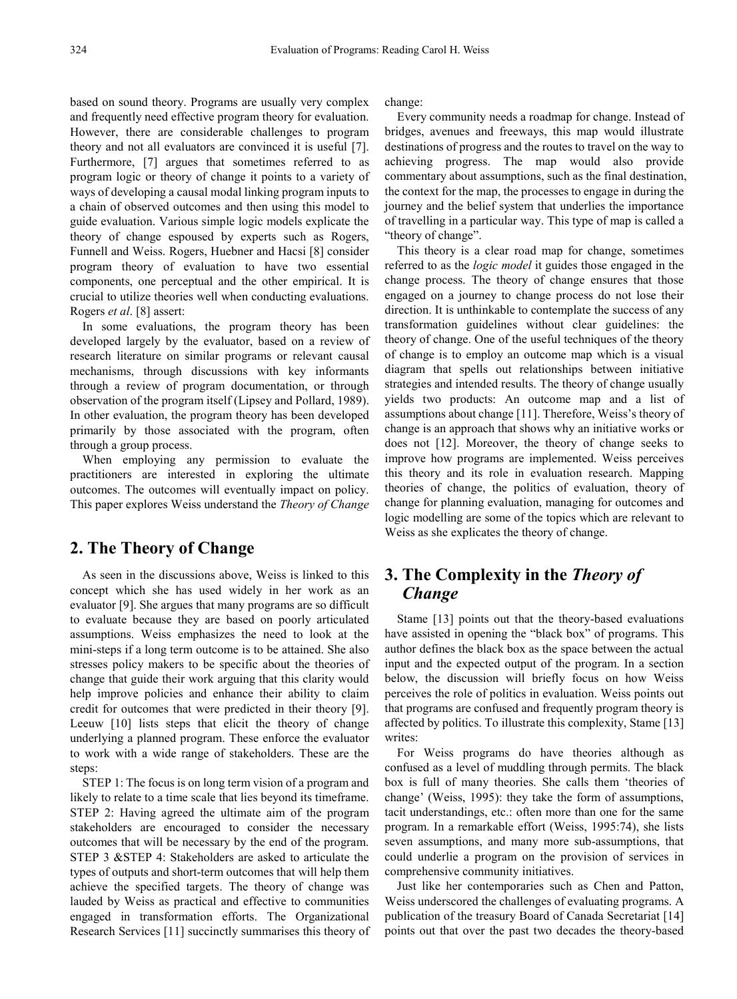based on sound theory. Programs are usually very complex and frequently need effective program theory for evaluation. However, there are considerable challenges to program theory and not all evaluators are convinced it is useful [7]. Furthermore, [7] argues that sometimes referred to as program logic or theory of change it points to a variety of ways of developing a causal modal linking program inputs to a chain of observed outcomes and then using this model to guide evaluation. Various simple logic models explicate the theory of change espoused by experts such as Rogers, Funnell and Weiss. Rogers, Huebner and Hacsi [8] consider program theory of evaluation to have two essential components, one perceptual and the other empirical. It is crucial to utilize theories well when conducting evaluations. Rogers *et al*. [8] assert:

In some evaluations, the program theory has been developed largely by the evaluator, based on a review of research literature on similar programs or relevant causal mechanisms, through discussions with key informants through a review of program documentation, or through observation of the program itself (Lipsey and Pollard, 1989). In other evaluation, the program theory has been developed primarily by those associated with the program, often through a group process.

When employing any permission to evaluate the practitioners are interested in exploring the ultimate outcomes. The outcomes will eventually impact on policy. This paper explores Weiss understand the *Theory of Change* 

### **2. The Theory of Change**

As seen in the discussions above, Weiss is linked to this concept which she has used widely in her work as an evaluator [9]. She argues that many programs are so difficult to evaluate because they are based on poorly articulated assumptions. Weiss emphasizes the need to look at the mini-steps if a long term outcome is to be attained. She also stresses policy makers to be specific about the theories of change that guide their work arguing that this clarity would help improve policies and enhance their ability to claim credit for outcomes that were predicted in their theory [9]. Leeuw [10] lists steps that elicit the theory of change underlying a planned program. These enforce the evaluator to work with a wide range of stakeholders. These are the steps:

STEP 1: The focus is on long term vision of a program and likely to relate to a time scale that lies beyond its timeframe. STEP 2: Having agreed the ultimate aim of the program stakeholders are encouraged to consider the necessary outcomes that will be necessary by the end of the program. STEP 3 &STEP 4: Stakeholders are asked to articulate the types of outputs and short-term outcomes that will help them achieve the specified targets. The theory of change was lauded by Weiss as practical and effective to communities engaged in transformation efforts. The Organizational Research Services [11] succinctly summarises this theory of change:

Every community needs a roadmap for change. Instead of bridges, avenues and freeways, this map would illustrate destinations of progress and the routes to travel on the way to achieving progress. The map would also provide commentary about assumptions, such as the final destination, the context for the map, the processes to engage in during the journey and the belief system that underlies the importance of travelling in a particular way. This type of map is called a "theory of change".

This theory is a clear road map for change, sometimes referred to as the *logic model* it guides those engaged in the change process. The theory of change ensures that those engaged on a journey to change process do not lose their direction. It is unthinkable to contemplate the success of any transformation guidelines without clear guidelines: the theory of change. One of the useful techniques of the theory of change is to employ an outcome map which is a visual diagram that spells out relationships between initiative strategies and intended results. The theory of change usually yields two products: An outcome map and a list of assumptions about change [11]. Therefore, Weiss's theory of change is an approach that shows why an initiative works or does not [12]. Moreover, the theory of change seeks to improve how programs are implemented. Weiss perceives this theory and its role in evaluation research. Mapping theories of change, the politics of evaluation, theory of change for planning evaluation, managing for outcomes and logic modelling are some of the topics which are relevant to Weiss as she explicates the theory of change.

# **3. The Complexity in the** *Theory of Change*

Stame [13] points out that the theory-based evaluations have assisted in opening the "black box" of programs. This author defines the black box as the space between the actual input and the expected output of the program. In a section below, the discussion will briefly focus on how Weiss perceives the role of politics in evaluation. Weiss points out that programs are confused and frequently program theory is affected by politics. To illustrate this complexity, Stame [13] writes:

For Weiss programs do have theories although as confused as a level of muddling through permits. The black box is full of many theories. She calls them 'theories of change' (Weiss, 1995): they take the form of assumptions, tacit understandings, etc.: often more than one for the same program. In a remarkable effort (Weiss, 1995:74), she lists seven assumptions, and many more sub-assumptions, that could underlie a program on the provision of services in comprehensive community initiatives.

Just like her contemporaries such as Chen and Patton, Weiss underscored the challenges of evaluating programs. A publication of the treasury Board of Canada Secretariat [14] points out that over the past two decades the theory-based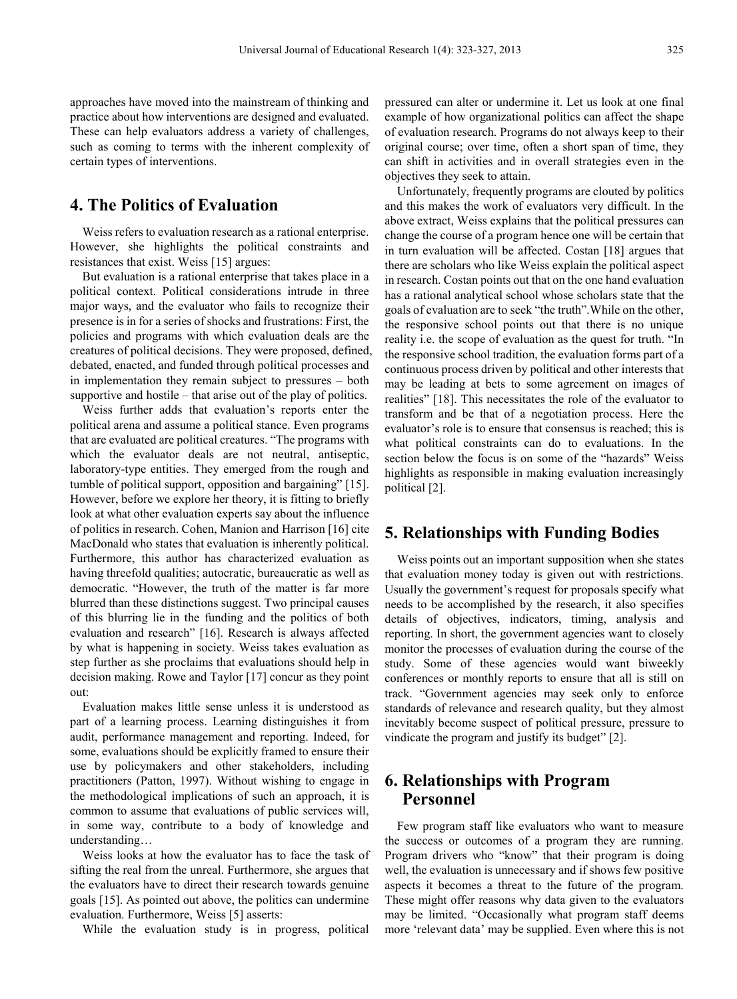approaches have moved into the mainstream of thinking and practice about how interventions are designed and evaluated. These can help evaluators address a variety of challenges, such as coming to terms with the inherent complexity of certain types of interventions.

## **4. The Politics of Evaluation**

Weiss refers to evaluation research as a rational enterprise. However, she highlights the political constraints and resistances that exist. Weiss [15] argues:

But evaluation is a rational enterprise that takes place in a political context. Political considerations intrude in three major ways, and the evaluator who fails to recognize their presence is in for a series of shocks and frustrations: First, the policies and programs with which evaluation deals are the creatures of political decisions. They were proposed, defined, debated, enacted, and funded through political processes and in implementation they remain subject to pressures – both supportive and hostile – that arise out of the play of politics.

Weiss further adds that evaluation's reports enter the political arena and assume a political stance. Even programs that are evaluated are political creatures. "The programs with which the evaluator deals are not neutral, antiseptic, laboratory-type entities. They emerged from the rough and tumble of political support, opposition and bargaining" [15]. However, before we explore her theory, it is fitting to briefly look at what other evaluation experts say about the influence of politics in research. Cohen, Manion and Harrison [16] cite MacDonald who states that evaluation is inherently political. Furthermore, this author has characterized evaluation as having threefold qualities; autocratic, bureaucratic as well as democratic. "However, the truth of the matter is far more blurred than these distinctions suggest. Two principal causes of this blurring lie in the funding and the politics of both evaluation and research" [16]. Research is always affected by what is happening in society. Weiss takes evaluation as step further as she proclaims that evaluations should help in decision making. Rowe and Taylor [17] concur as they point out:

Evaluation makes little sense unless it is understood as part of a learning process. Learning distinguishes it from audit, performance management and reporting. Indeed, for some, evaluations should be explicitly framed to ensure their use by policymakers and other stakeholders, including practitioners (Patton, 1997). Without wishing to engage in the methodological implications of such an approach, it is common to assume that evaluations of public services will, in some way, contribute to a body of knowledge and understanding…

Weiss looks at how the evaluator has to face the task of sifting the real from the unreal. Furthermore, she argues that the evaluators have to direct their research towards genuine goals [15]. As pointed out above, the politics can undermine evaluation. Furthermore, Weiss [5] asserts:

While the evaluation study is in progress, political

pressured can alter or undermine it. Let us look at one final example of how organizational politics can affect the shape of evaluation research. Programs do not always keep to their original course; over time, often a short span of time, they can shift in activities and in overall strategies even in the objectives they seek to attain.

Unfortunately, frequently programs are clouted by politics and this makes the work of evaluators very difficult. In the above extract, Weiss explains that the political pressures can change the course of a program hence one will be certain that in turn evaluation will be affected. Costan [18] argues that there are scholars who like Weiss explain the political aspect in research. Costan points out that on the one hand evaluation has a rational analytical school whose scholars state that the goals of evaluation are to seek "the truth".While on the other, the responsive school points out that there is no unique reality i.e. the scope of evaluation as the quest for truth. "In the responsive school tradition, the evaluation forms part of a continuous process driven by political and other interests that may be leading at bets to some agreement on images of realities" [18]. This necessitates the role of the evaluator to transform and be that of a negotiation process. Here the evaluator's role is to ensure that consensus is reached; this is what political constraints can do to evaluations. In the section below the focus is on some of the "hazards" Weiss highlights as responsible in making evaluation increasingly political [2].

#### **5. Relationships with Funding Bodies**

Weiss points out an important supposition when she states that evaluation money today is given out with restrictions. Usually the government's request for proposals specify what needs to be accomplished by the research, it also specifies details of objectives, indicators, timing, analysis and reporting. In short, the government agencies want to closely monitor the processes of evaluation during the course of the study. Some of these agencies would want biweekly conferences or monthly reports to ensure that all is still on track. "Government agencies may seek only to enforce standards of relevance and research quality, but they almost inevitably become suspect of political pressure, pressure to vindicate the program and justify its budget" [2].

## **6. Relationships with Program Personnel**

Few program staff like evaluators who want to measure the success or outcomes of a program they are running. Program drivers who "know" that their program is doing well, the evaluation is unnecessary and if shows few positive aspects it becomes a threat to the future of the program. These might offer reasons why data given to the evaluators may be limited. "Occasionally what program staff deems more 'relevant data' may be supplied. Even where this is not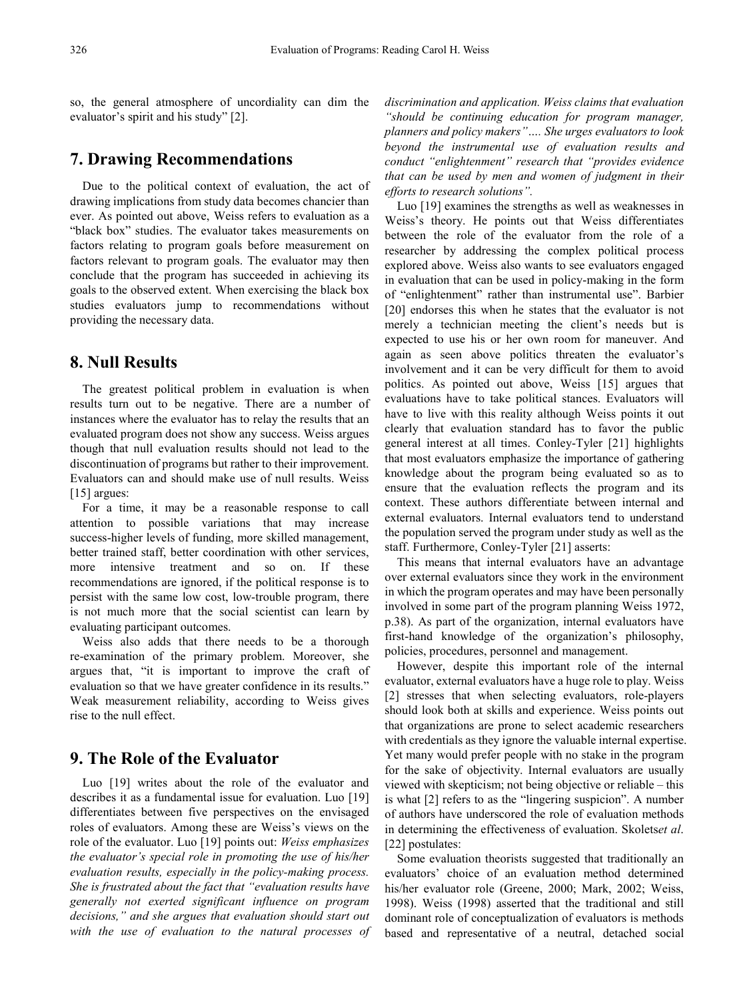so, the general atmosphere of uncordiality can dim the evaluator's spirit and his study" [2].

#### **7. Drawing Recommendations**

Due to the political context of evaluation, the act of drawing implications from study data becomes chancier than ever. As pointed out above, Weiss refers to evaluation as a "black box" studies. The evaluator takes measurements on factors relating to program goals before measurement on factors relevant to program goals. The evaluator may then conclude that the program has succeeded in achieving its goals to the observed extent. When exercising the black box studies evaluators jump to recommendations without providing the necessary data.

## **8. Null Results**

The greatest political problem in evaluation is when results turn out to be negative. There are a number of instances where the evaluator has to relay the results that an evaluated program does not show any success. Weiss argues though that null evaluation results should not lead to the discontinuation of programs but rather to their improvement. Evaluators can and should make use of null results. Weiss [15] argues:

For a time, it may be a reasonable response to call attention to possible variations that may increase success-higher levels of funding, more skilled management, better trained staff, better coordination with other services, more intensive treatment and so on. If these recommendations are ignored, if the political response is to persist with the same low cost, low-trouble program, there is not much more that the social scientist can learn by evaluating participant outcomes.

Weiss also adds that there needs to be a thorough re-examination of the primary problem. Moreover, she argues that, "it is important to improve the craft of evaluation so that we have greater confidence in its results." Weak measurement reliability, according to Weiss gives rise to the null effect.

#### **9. The Role of the Evaluator**

Luo [19] writes about the role of the evaluator and describes it as a fundamental issue for evaluation. Luo [19] differentiates between five perspectives on the envisaged roles of evaluators. Among these are Weiss's views on the role of the evaluator. Luo [19] points out: *Weiss emphasizes the evaluator's special role in promoting the use of his/her evaluation results, especially in the policy-making process. She is frustrated about the fact that "evaluation results have generally not exerted significant influence on program decisions," and she argues that evaluation should start out with the use of evaluation to the natural processes of* 

*discrimination and application. Weiss claims that evaluation "should be continuing education for program manager, planners and policy makers"…. She urges evaluators to look beyond the instrumental use of evaluation results and conduct "enlightenment" research that "provides evidence that can be used by men and women of judgment in their efforts to research solutions".* 

Luo [19] examines the strengths as well as weaknesses in Weiss's theory. He points out that Weiss differentiates between the role of the evaluator from the role of a researcher by addressing the complex political process explored above. Weiss also wants to see evaluators engaged in evaluation that can be used in policy-making in the form of "enlightenment" rather than instrumental use". Barbier [20] endorses this when he states that the evaluator is not merely a technician meeting the client's needs but is expected to use his or her own room for maneuver. And again as seen above politics threaten the evaluator's involvement and it can be very difficult for them to avoid politics. As pointed out above, Weiss [15] argues that evaluations have to take political stances. Evaluators will have to live with this reality although Weiss points it out clearly that evaluation standard has to favor the public general interest at all times. Conley-Tyler [21] highlights that most evaluators emphasize the importance of gathering knowledge about the program being evaluated so as to ensure that the evaluation reflects the program and its context. These authors differentiate between internal and external evaluators. Internal evaluators tend to understand the population served the program under study as well as the staff. Furthermore, Conley-Tyler [21] asserts:

This means that internal evaluators have an advantage over external evaluators since they work in the environment in which the program operates and may have been personally involved in some part of the program planning Weiss 1972, p.38). As part of the organization, internal evaluators have first-hand knowledge of the organization's philosophy, policies, procedures, personnel and management.

However, despite this important role of the internal evaluator, external evaluators have a huge role to play. Weiss [2] stresses that when selecting evaluators, role-players should look both at skills and experience. Weiss points out that organizations are prone to select academic researchers with credentials as they ignore the valuable internal expertise. Yet many would prefer people with no stake in the program for the sake of objectivity. Internal evaluators are usually viewed with skepticism; not being objective or reliable – this is what [2] refers to as the "lingering suspicion". A number of authors have underscored the role of evaluation methods in determining the effectiveness of evaluation. Skolets*et al*. [22] postulates:

Some evaluation theorists suggested that traditionally an evaluators' choice of an evaluation method determined his/her evaluator role (Greene, 2000; Mark, 2002; Weiss, 1998). Weiss (1998) asserted that the traditional and still dominant role of conceptualization of evaluators is methods based and representative of a neutral, detached social